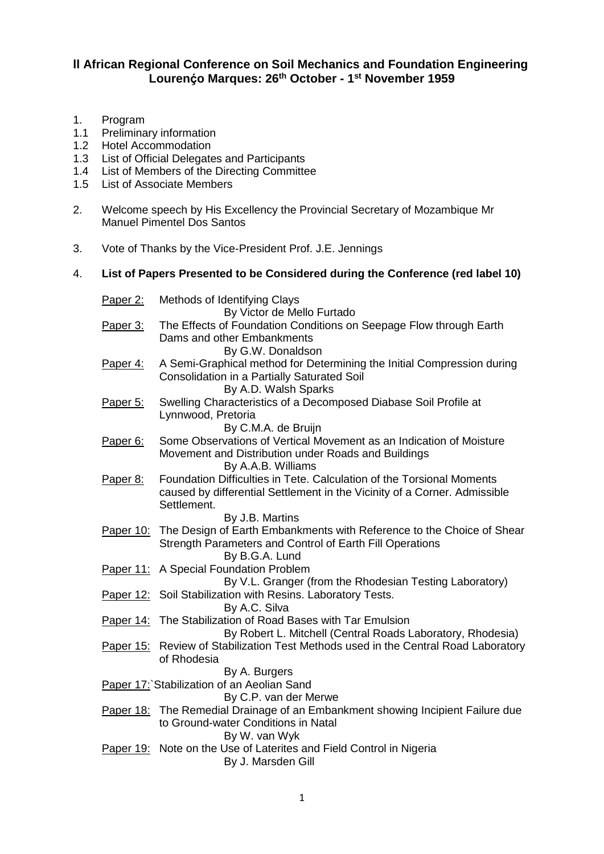## **ll African Regional Conference on Soil Mechanics and Foundation Engineering Lourenḉo Marques: 26th October - 1 st November 1959**

- 1. Program
- 1.1 Preliminary information
- 1.2 Hotel Accommodation
- 1.3 List of Official Delegates and Participants
- 1.4 List of Members of the Directing Committee
- 1.5 List of Associate Members
- 2. Welcome speech by His Excellency the Provincial Secretary of Mozambique Mr Manuel Pimentel Dos Santos
- 3. Vote of Thanks by the Vice-President Prof. J.E. Jennings

## 4. **List of Papers Presented to be Considered during the Conference (red label 10)**

| Paper 2:        | Methods of Identifying Clays<br>By Victor de Mello Furtado                                                                                                                           |
|-----------------|--------------------------------------------------------------------------------------------------------------------------------------------------------------------------------------|
| <u>Paper 3:</u> | The Effects of Foundation Conditions on Seepage Flow through Earth<br>Dams and other Embankments<br>By G.W. Donaldson                                                                |
| Paper 4:        | A Semi-Graphical method for Determining the Initial Compression during<br>Consolidation in a Partially Saturated Soil<br>By A.D. Walsh Sparks                                        |
| Paper 5:        | Swelling Characteristics of a Decomposed Diabase Soil Profile at<br>Lynnwood, Pretoria<br>By C.M.A. de Bruijn                                                                        |
| Paper 6:        | Some Observations of Vertical Movement as an Indication of Moisture<br>Movement and Distribution under Roads and Buildings<br>By A.A.B. Williams                                     |
| Paper 8:        | Foundation Difficulties in Tete. Calculation of the Torsional Moments<br>caused by differential Settlement in the Vicinity of a Corner. Admissible<br>Settlement.<br>By J.B. Martins |
|                 | Paper 10: The Design of Earth Embankments with Reference to the Choice of Shear<br>Strength Parameters and Control of Earth Fill Operations<br>By B.G.A. Lund                        |
| Paper 11:       | A Special Foundation Problem<br>By V.L. Granger (from the Rhodesian Testing Laboratory)                                                                                              |
|                 | Paper 12: Soil Stabilization with Resins. Laboratory Tests.<br>By A.C. Silva                                                                                                         |
|                 | Paper 14: The Stabilization of Road Bases with Tar Emulsion<br>By Robert L. Mitchell (Central Roads Laboratory, Rhodesia)                                                            |
|                 | Paper 15: Review of Stabilization Test Methods used in the Central Road Laboratory<br>of Rhodesia<br>By A. Burgers                                                                   |
|                 | Paper 17: Stabilization of an Aeolian Sand<br>By C.P. van der Merwe                                                                                                                  |
|                 | Paper 18: The Remedial Drainage of an Embankment showing Incipient Failure due<br>to Ground-water Conditions in Natal<br>By W. van Wyk                                               |
| Paper 19:       | Note on the Use of Laterites and Field Control in Nigeria<br>By J. Marsden Gill                                                                                                      |